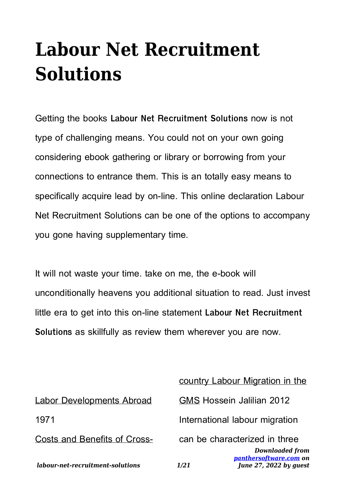## **Labour Net Recruitment Solutions**

Getting the books **Labour Net Recruitment Solutions** now is not type of challenging means. You could not on your own going considering ebook gathering or library or borrowing from your connections to entrance them. This is an totally easy means to specifically acquire lead by on-line. This online declaration Labour Net Recruitment Solutions can be one of the options to accompany you gone having supplementary time.

It will not waste your time. take on me, the e-book will unconditionally heavens you additional situation to read. Just invest little era to get into this on-line statement **Labour Net Recruitment Solutions** as skillfully as review them wherever you are now.

country Labour Migration in the

| labour-net-recruitment-solutions | <b>Downloaded from</b><br>panthersoftware.com on<br>June 27, 2022 by quest<br>1/21 |
|----------------------------------|------------------------------------------------------------------------------------|
| Costs and Benefits of Cross-     | can be characterized in three                                                      |
| 1971                             | International labour migration                                                     |
| <b>Labor Developments Abroad</b> | <b>GMS Hossein Jalilian 2012</b>                                                   |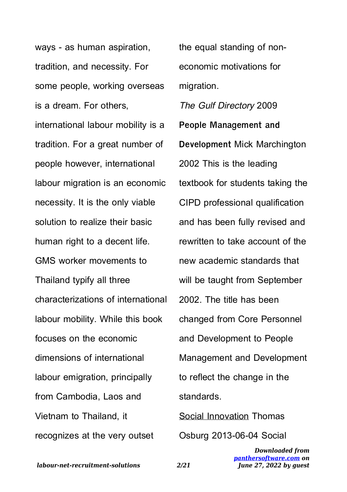ways - as human aspiration, tradition, and necessity. For some people, working overseas is a dream. For others,

international labour mobility is a tradition. For a great number of people however, international labour migration is an economic necessity. It is the only viable solution to realize their basic human right to a decent life. GMS worker movements to Thailand typify all three characterizations of international labour mobility. While this book focuses on the economic dimensions of international labour emigration, principally from Cambodia, Laos and Vietnam to Thailand, it recognizes at the very outset

the equal standing of noneconomic motivations for migration.

The Gulf Directory 2009 **People Management and Development** Mick Marchington 2002 This is the leading textbook for students taking the CIPD professional qualification and has been fully revised and rewritten to take account of the new academic standards that will be taught from September 2002. The title has been changed from Core Personnel and Development to People Management and Development to reflect the change in the standards.

Social Innovation Thomas Osburg 2013-06-04 Social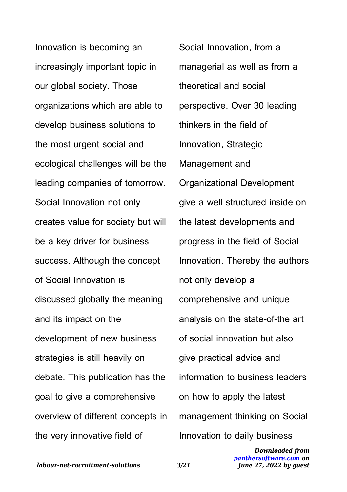Innovation is becoming an increasingly important topic in our global society. Those organizations which are able to develop business solutions to the most urgent social and ecological challenges will be the leading companies of tomorrow. Social Innovation not only creates value for society but will be a key driver for business success. Although the concept of Social Innovation is discussed globally the meaning and its impact on the development of new business strategies is still heavily on debate. This publication has the goal to give a comprehensive overview of different concepts in the very innovative field of

Social Innovation, from a managerial as well as from a theoretical and social perspective. Over 30 leading thinkers in the field of Innovation, Strategic Management and Organizational Development give a well structured inside on the latest developments and progress in the field of Social Innovation. Thereby the authors not only develop a comprehensive and unique analysis on the state-of-the art of social innovation but also give practical advice and information to business leaders on how to apply the latest management thinking on Social Innovation to daily business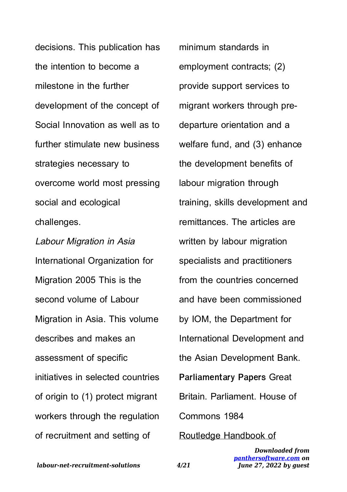decisions. This publication has the intention to become a milestone in the further development of the concept of Social Innovation as well as to further stimulate new business strategies necessary to overcome world most pressing social and ecological challenges.

Labour Migration in Asia International Organization for Migration 2005 This is the second volume of Labour Migration in Asia. This volume describes and makes an assessment of specific initiatives in selected countries of origin to (1) protect migrant workers through the regulation of recruitment and setting of

minimum standards in employment contracts; (2) provide support services to migrant workers through predeparture orientation and a welfare fund, and (3) enhance the development benefits of labour migration through training, skills development and remittances. The articles are written by labour migration specialists and practitioners from the countries concerned and have been commissioned by IOM, the Department for International Development and the Asian Development Bank. **Parliamentary Papers** Great Britain. Parliament. House of Commons 1984 Routledge Handbook of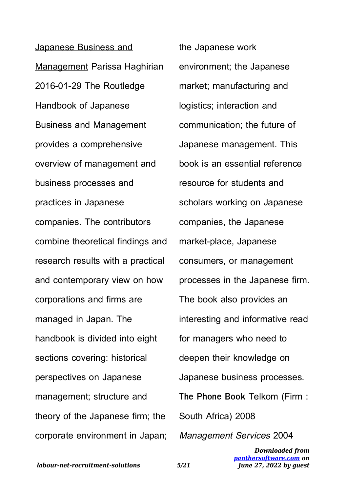Japanese Business and Management Parissa Haghirian 2016-01-29 The Routledge Handbook of Japanese Business and Management provides a comprehensive overview of management and business processes and practices in Japanese companies. The contributors combine theoretical findings and research results with a practical and contemporary view on how corporations and firms are managed in Japan. The handbook is divided into eight sections covering: historical perspectives on Japanese management; structure and theory of the Japanese firm; the corporate environment in Japan; the Japanese work environment; the Japanese market; manufacturing and logistics; interaction and communication; the future of Japanese management. This book is an essential reference resource for students and scholars working on Japanese companies, the Japanese market-place, Japanese consumers, or management processes in the Japanese firm. The book also provides an interesting and informative read for managers who need to deepen their knowledge on Japanese business processes. **The Phone Book** Telkom (Firm : South Africa) 2008 Management Services 2004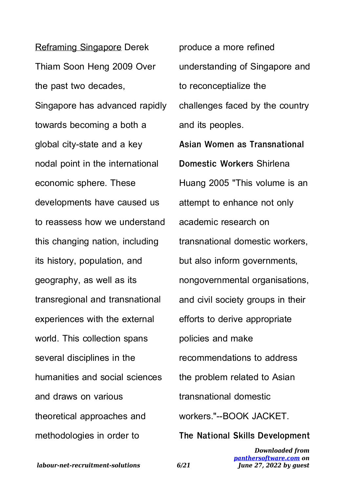Reframing Singapore Derek Thiam Soon Heng 2009 Over the past two decades, Singapore has advanced rapidly towards becoming a both a global city-state and a key nodal point in the international economic sphere. These developments have caused us to reassess how we understand this changing nation, including its history, population, and geography, as well as its transregional and transnational experiences with the external world. This collection spans several disciplines in the humanities and social sciences and draws on various theoretical approaches and methodologies in order to

produce a more refined understanding of Singapore and to reconceptialize the challenges faced by the country and its peoples.

**Asian Women as Transnational Domestic Workers** Shirlena Huang 2005 "This volume is an attempt to enhance not only academic research on transnational domestic workers, but also inform governments, nongovernmental organisations, and civil society groups in their efforts to derive appropriate policies and make recommendations to address the problem related to Asian transnational domestic workers."--BOOK JACKET. **The National Skills Development**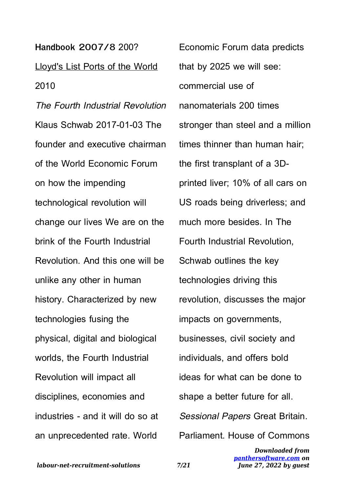**Handbook 2007/8** 200? Lloyd's List Ports of the World 2010

The Fourth Industrial Revolution Klaus Schwab 2017-01-03 The founder and executive chairman of the World Economic Forum on how the impending technological revolution will change our lives We are on the brink of the Fourth Industrial Revolution. And this one will be unlike any other in human history. Characterized by new technologies fusing the physical, digital and biological worlds, the Fourth Industrial Revolution will impact all disciplines, economies and industries - and it will do so at an unprecedented rate. World

Economic Forum data predicts that by 2025 we will see: commercial use of nanomaterials 200 times stronger than steel and a million times thinner than human hair; the first transplant of a 3Dprinted liver; 10% of all cars on US roads being driverless; and much more besides. In The Fourth Industrial Revolution, Schwab outlines the key technologies driving this revolution, discusses the major impacts on governments, businesses, civil society and individuals, and offers bold ideas for what can be done to shape a better future for all. Sessional Papers Great Britain. Parliament. House of Commons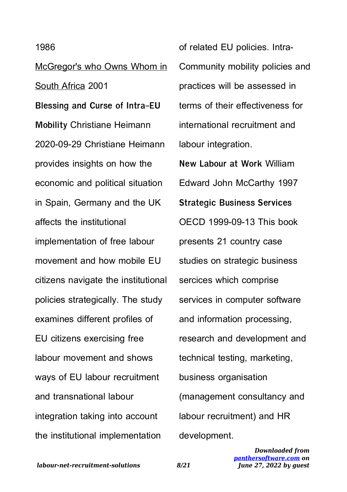## 1986

McGregor's who Owns Whom in South Africa 2001 **Blessing and Curse of Intra-EU Mobility** Christiane Heimann 2020-09-29 Christiane Heimann provides insights on how the economic and political situation in Spain, Germany and the UK affects the institutional implementation of free labour movement and how mobile EU citizens navigate the institutional policies strategically. The study examines different profiles of EU citizens exercising free labour movement and shows ways of EU labour recruitment and transnational labour integration taking into account the institutional implementation

of related EU policies. Intra-Community mobility policies and practices will be assessed in terms of their effectiveness for international recruitment and labour integration. **New Labour at Work** William Edward John McCarthy 1997 **Strategic Business Services** OECD 1999-09-13 This book presents 21 country case studies on strategic business sercices which comprise services in computer software and information processing, research and development and technical testing, marketing, business organisation (management consultancy and labour recruitment) and HR development.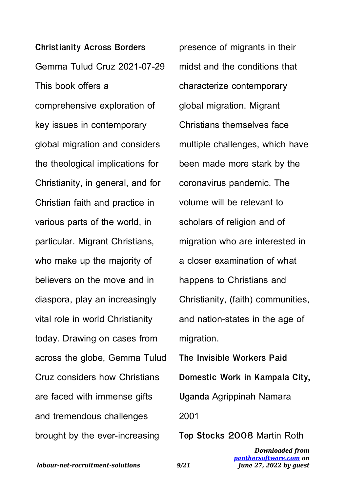**Christianity Across Borders** Gemma Tulud Cruz 2021-07-29 This book offers a comprehensive exploration of key issues in contemporary global migration and considers the theological implications for Christianity, in general, and for Christian faith and practice in various parts of the world, in particular. Migrant Christians, who make up the majority of believers on the move and in diaspora, play an increasingly vital role in world Christianity today. Drawing on cases from across the globe, Gemma Tulud Cruz considers how Christians are faced with immense gifts and tremendous challenges brought by the ever-increasing

presence of migrants in their midst and the conditions that characterize contemporary global migration. Migrant Christians themselves face multiple challenges, which have been made more stark by the coronavirus pandemic. The volume will be relevant to scholars of religion and of migration who are interested in a closer examination of what happens to Christians and Christianity, (faith) communities, and nation-states in the age of migration.

**The Invisible Workers Paid Domestic Work in Kampala City, Uganda** Agrippinah Namara 2001

**Top Stocks 2008** Martin Roth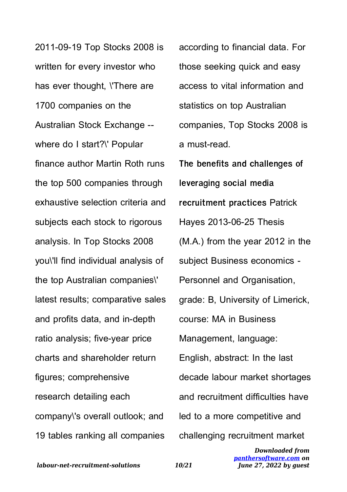2011-09-19 Top Stocks 2008 is written for every investor who has ever thought, \'There are 1700 companies on the Australian Stock Exchange - where do I start?\' Popular finance author Martin Roth runs the top 500 companies through exhaustive selection criteria and subjects each stock to rigorous analysis. In Top Stocks 2008 you\'ll find individual analysis of the top Australian companies\' latest results; comparative sales and profits data, and in-depth ratio analysis; five-year price charts and shareholder return figures; comprehensive research detailing each company\'s overall outlook; and 19 tables ranking all companies

according to financial data. For those seeking quick and easy access to vital information and statistics on top Australian companies, Top Stocks 2008 is a must-read. **The benefits and challenges of leveraging social media recruitment practices** Patrick Hayes 2013-06-25 Thesis (M.A.) from the year 2012 in the subject Business economics - Personnel and Organisation, grade: B, University of Limerick, course: MA in Business Management, language: English, abstract: In the last decade labour market shortages and recruitment difficulties have led to a more competitive and challenging recruitment market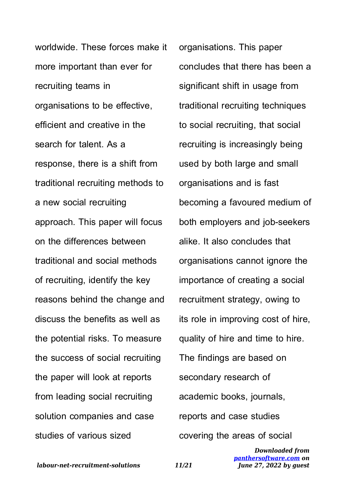worldwide. These forces make it more important than ever for recruiting teams in organisations to be effective, efficient and creative in the search for talent. As a response, there is a shift from traditional recruiting methods to a new social recruiting approach. This paper will focus on the differences between traditional and social methods of recruiting, identify the key reasons behind the change and discuss the benefits as well as the potential risks. To measure the success of social recruiting the paper will look at reports from leading social recruiting solution companies and case studies of various sized

organisations. This paper concludes that there has been a significant shift in usage from traditional recruiting techniques to social recruiting, that social recruiting is increasingly being used by both large and small organisations and is fast becoming a favoured medium of both employers and job-seekers alike. It also concludes that organisations cannot ignore the importance of creating a social recruitment strategy, owing to its role in improving cost of hire, quality of hire and time to hire. The findings are based on secondary research of academic books, journals, reports and case studies covering the areas of social

> *Downloaded from [panthersoftware.com](http://panthersoftware.com) on June 27, 2022 by guest*

*labour-net-recruitment-solutions 11/21*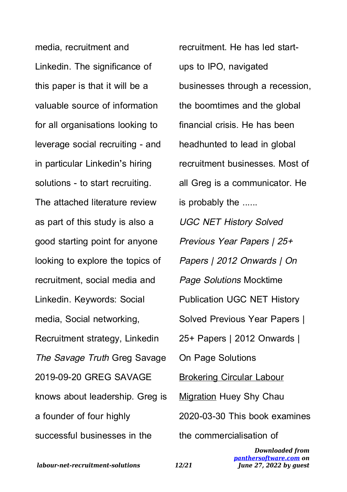media, recruitment and Linkedin. The significance of this paper is that it will be a valuable source of information for all organisations looking to leverage social recruiting - and in particular Linkedin's hiring solutions - to start recruiting. The attached literature review as part of this study is also a good starting point for anyone looking to explore the topics of recruitment, social media and Linkedin. Keywords: Social media, Social networking, Recruitment strategy, Linkedin The Savage Truth Greg Savage 2019-09-20 GREG SAVAGE knows about leadership. Greg is a founder of four highly successful businesses in the

recruitment. He has led startups to IPO, navigated businesses through a recession, the boomtimes and the global financial crisis. He has been headhunted to lead in global recruitment businesses. Most of all Greg is a communicator. He is probably the ...... UGC NET History Solved Previous Year Papers | 25+ Papers | 2012 Onwards | On Page Solutions Mocktime Publication UGC NET History Solved Previous Year Papers | 25+ Papers | 2012 Onwards | On Page Solutions Brokering Circular Labour Migration Huey Shy Chau 2020-03-30 This book examines the commercialisation of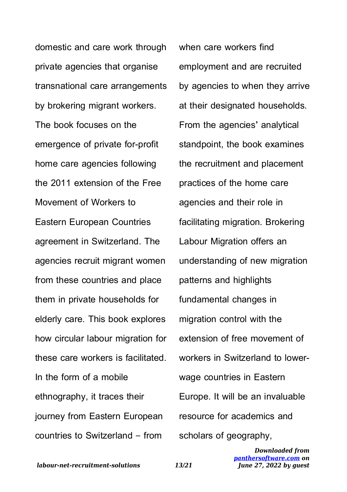domestic and care work through private agencies that organise transnational care arrangements by brokering migrant workers. The book focuses on the emergence of private for-profit home care agencies following the 2011 extension of the Free Movement of Workers to Eastern European Countries agreement in Switzerland. The agencies recruit migrant women from these countries and place them in private households for elderly care. This book explores how circular labour migration for these care workers is facilitated. In the form of a mobile ethnography, it traces their journey from Eastern European countries to Switzerland – from

when care workers find employment and are recruited by agencies to when they arrive at their designated households. From the agencies' analytical standpoint, the book examines the recruitment and placement practices of the home care agencies and their role in facilitating migration. Brokering Labour Migration offers an understanding of new migration patterns and highlights fundamental changes in migration control with the extension of free movement of workers in Switzerland to lowerwage countries in Eastern Europe. It will be an invaluable resource for academics and scholars of geography,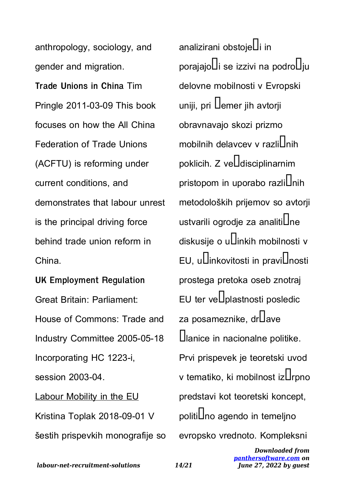anthropology, sociology, and gender and migration. **Trade Unions in China** Tim Pringle 2011-03-09 This book focuses on how the All China Federation of Trade Unions (ACFTU) is reforming under current conditions, and demonstrates that labour unrest is the principal driving force behind trade union reform in China.

**UK Employment Regulation** Great Britain: Parliament: House of Commons: Trade and Industry Committee 2005-05-18 Incorporating HC 1223-i, session 2003-04. Labour Mobility in the EU Kristina Toplak 2018-09-01 V šestih prispevkih monografije so analizirani obstoje $\mathop{\text{Li}}\nolimits$ in  $p$ orajajo $U$ i se izzivi na podro $U$ iu delovne mobilnosti v Evropski uniji, pri  $\Box$ emer jih avtorji obravnavajo skozi prizmo mobilnih delavcev v razlil Inih poklicih. Z ve $\square$ disciplinarnim pristopom in uporabo razli $\bigcup$ nih metodoloških prijemov so avtorji ustvarili ogrodje za analiti $\mathsf{L}$ ne diskusije o u**L**inkih mobilnosti v EU, u $\overline{\mathrm{Li}}$ nkovitosti in pravi $\overline{\mathrm{L}}$ nosti prostega pretoka oseb znotraj EU ter ve $\square$ plastnosti posledic za posameznike, drUave Ulanice in nacionalne politike. Prvi prispevek je teoretski uvod v tematiko, ki mobilnost iz**L**rpno predstavi kot teoretski koncept, politi**L**no agendo in temeljno evropsko vrednoto. Kompleksni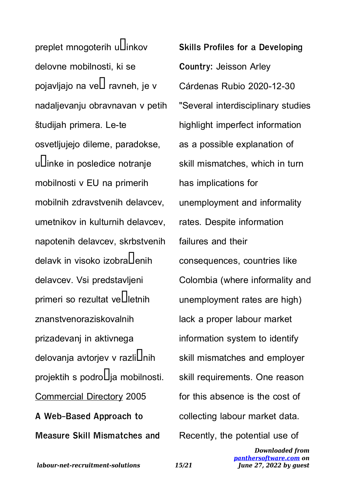preplet mnogoterih u $\square$ inkov delovne mobilnosti, ki se pojavljajo na ve $\square$  ravneh, je v nadaljevanju obravnavan v petih študijah primera. Le-te osvetljujejo dileme, paradokse, uLlinke in posledice notranje mobilnosti v EU na primerih mobilnih zdravstvenih delavcev, umetnikov in kulturnih delavcev, napotenih delavcev, skrbstvenih delavk in visoko izobra $\Pi$ enih delavcev. Vsi predstavljeni primeri so rezultat ve $\Box$ letnih znanstvenoraziskovalnih prizadevanj in aktivnega delovanja avtorjev v razlilnih projektih s podro $\Box$ ja mobilnosti. Commercial Directory 2005 **A Web-Based Approach to Measure Skill Mismatches and**

**Skills Profiles for a Developing Country:** Jeisson Arley Cárdenas Rubio 2020-12-30 "Several interdisciplinary studies highlight imperfect information as a possible explanation of skill mismatches, which in turn has implications for unemployment and informality rates. Despite information failures and their consequences, countries like Colombia (where informality and unemployment rates are high) lack a proper labour market information system to identify skill mismatches and employer skill requirements. One reason for this absence is the cost of collecting labour market data. Recently, the potential use of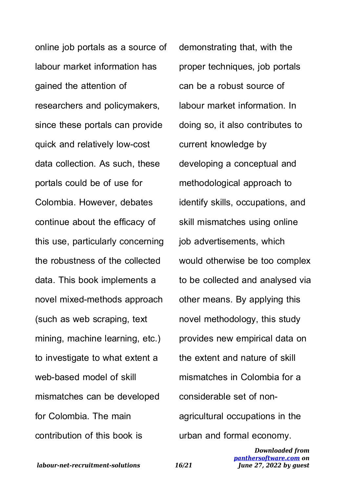online job portals as a source of labour market information has gained the attention of researchers and policymakers, since these portals can provide quick and relatively low-cost data collection. As such, these portals could be of use for Colombia. However, debates continue about the efficacy of this use, particularly concerning the robustness of the collected data. This book implements a novel mixed-methods approach (such as web scraping, text mining, machine learning, etc.) to investigate to what extent a web-based model of skill mismatches can be developed for Colombia. The main contribution of this book is

demonstrating that, with the proper techniques, job portals can be a robust source of labour market information. In doing so, it also contributes to current knowledge by developing a conceptual and methodological approach to identify skills, occupations, and skill mismatches using online job advertisements, which would otherwise be too complex to be collected and analysed via other means. By applying this novel methodology, this study provides new empirical data on the extent and nature of skill mismatches in Colombia for a considerable set of nonagricultural occupations in the urban and formal economy.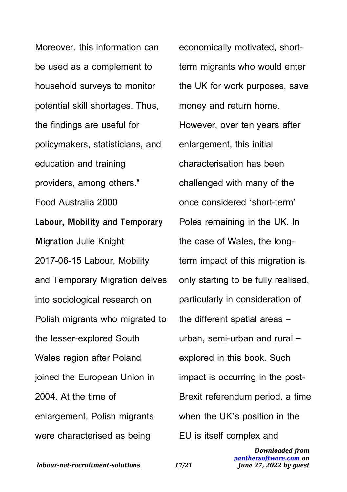Moreover, this information can be used as a complement to household surveys to monitor potential skill shortages. Thus, the findings are useful for policymakers, statisticians, and education and training providers, among others." Food Australia 2000 **Labour, Mobility and Temporary Migration** Julie Knight 2017-06-15 Labour, Mobility and Temporary Migration delves into sociological research on Polish migrants who migrated to the lesser-explored South Wales region after Poland joined the European Union in 2004. At the time of enlargement, Polish migrants were characterised as being

economically motivated, shortterm migrants who would enter the UK for work purposes, save money and return home. However, over ten years after enlargement, this initial characterisation has been challenged with many of the once considered 'short-term' Poles remaining in the UK. In the case of Wales, the longterm impact of this migration is only starting to be fully realised, particularly in consideration of the different spatial areas – urban, semi-urban and rural – explored in this book. Such impact is occurring in the post-Brexit referendum period, a time when the UK's position in the EU is itself complex and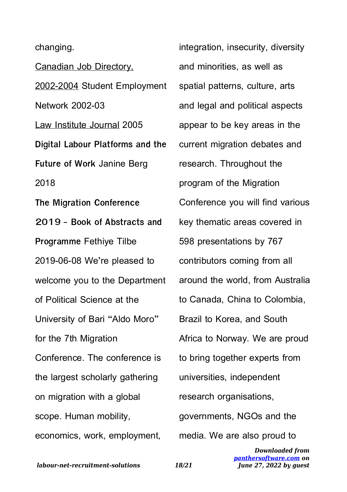changing.

Canadian Job Directory, 2002-2004 Student Employment Network 2002-03 Law Institute Journal 2005 **Digital Labour Platforms and the Future of Work** Janine Berg 2018 **The Migration Conference 2019 - Book of Abstracts and Programme** Fethiye Tilbe 2019-06-08 We're pleased to welcome you to the Department of Political Science at the University of Bari "Aldo Moro" for the 7th Migration Conference. The conference is the largest scholarly gathering on migration with a global scope. Human mobility, economics, work, employment,

integration, insecurity, diversity and minorities, as well as spatial patterns, culture, arts and legal and political aspects appear to be key areas in the current migration debates and research. Throughout the program of the Migration Conference you will find various key thematic areas covered in 598 presentations by 767 contributors coming from all around the world, from Australia to Canada, China to Colombia, Brazil to Korea, and South Africa to Norway. We are proud to bring together experts from universities, independent research organisations, governments, NGOs and the media. We are also proud to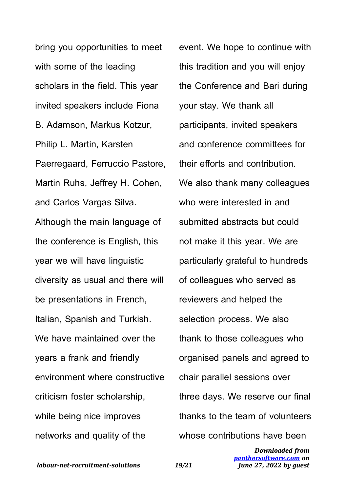bring you opportunities to meet with some of the leading scholars in the field. This year invited speakers include Fiona B. Adamson, Markus Kotzur, Philip L. Martin, Karsten Paerregaard, Ferruccio Pastore, Martin Ruhs, Jeffrey H. Cohen, and Carlos Vargas Silva. Although the main language of the conference is English, this year we will have linguistic diversity as usual and there will be presentations in French, Italian, Spanish and Turkish. We have maintained over the years a frank and friendly environment where constructive criticism foster scholarship, while being nice improves networks and quality of the

event. We hope to continue with this tradition and you will enjoy the Conference and Bari during your stay. We thank all participants, invited speakers and conference committees for their efforts and contribution. We also thank many colleagues who were interested in and submitted abstracts but could not make it this year. We are particularly grateful to hundreds of colleagues who served as reviewers and helped the selection process. We also thank to those colleagues who organised panels and agreed to chair parallel sessions over three days. We reserve our final thanks to the team of volunteers whose contributions have been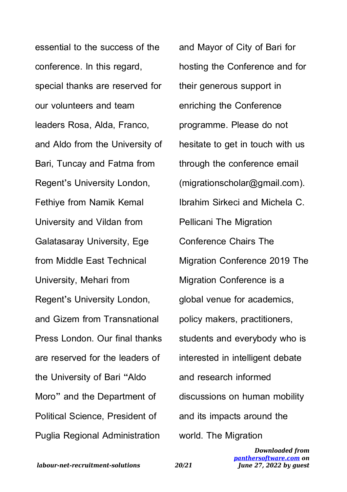essential to the success of the conference. In this regard, special thanks are reserved for our volunteers and team leaders Rosa, Alda, Franco, and Aldo from the University of Bari, Tuncay and Fatma from Regent's University London, Fethiye from Namik Kemal University and Vildan from Galatasaray University, Ege from Middle East Technical University, Mehari from Regent's University London, and Gizem from Transnational Press London. Our final thanks are reserved for the leaders of the University of Bari "Aldo Moro" and the Department of Political Science, President of Puglia Regional Administration

and Mayor of City of Bari for hosting the Conference and for their generous support in enriching the Conference programme. Please do not hesitate to get in touch with us through the conference email (migrationscholar@gmail.com). Ibrahim Sirkeci and Michela C. Pellicani The Migration Conference Chairs The Migration Conference 2019 The Migration Conference is a global venue for academics, policy makers, practitioners, students and everybody who is interested in intelligent debate and research informed discussions on human mobility and its impacts around the world. The Migration